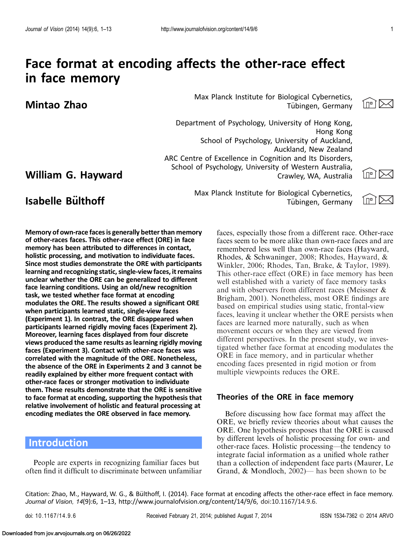# Face format at encoding affects the other-race effect in face memory

Mintao Zhao [#](http://www.kyb.tuebingen.mpg.de/nc/employee/details/mzhao.html) [\\$](mailto:Mintao.Zhao@tuebingen.mpg.de) Max Planck Institute for Biological Cybernetics, Tübingen, Germany

**William G. Hayward**  $\frac{1}{2}$  **William G. Hayward** Department of Psychology, University of Hong Kong, Hong Kong School of Psychology, University of Auckland, Auckland, New Zealand ARC Centre of Excellence in Cognition and Its Disorders, School of Psychology, University of Western Australia, Crawley, WA, Australia

Memory of own-race faces is generally better than memory of other-races faces. This other-race effect (ORE) in face memory has been attributed to differences in contact, holistic processing, and motivation to individuate faces. Since most studies demonstrate the ORE with participants learning and recognizing static, single-view faces, it remains unclear whether the ORE can be generalized to different face learning conditions. Using an old/new recognition task, we tested whether face format at encoding modulates the ORE. The results showed a significant ORE when participants learned static, single-view faces (Experiment 1). In contrast, the ORE disappeared when participants learned rigidly moving faces (Experiment 2). Moreover, learning faces displayed from four discrete views produced the same results as learning rigidly moving faces (Experiment 3). Contact with other-race faces was correlated with the magnitude of the ORE. Nonetheless, the absence of the ORE in Experiments 2 and 3 cannot be readily explained by either more frequent contact with other-race faces or stronger motivation to individuate them. These results demonstrate that the ORE is sensitive to face format at encoding, supporting the hypothesis that relative involvement of holistic and featural processing at encoding mediates the ORE observed in face memory.

# **Introduction**

People are experts in recognizing familiar faces but often find it difficult to discriminate between unfamiliar

**Isabelle Bulthoff**  $\blacksquare$   $\blacksquare$  Max Planck Institute for Biological Cybernetics,  $\blacksquare$ Tübingen, Germany



faces, especially those from a different race. Other-race faces seem to be more alike than own-race faces and are remembered less well than own-race faces (Hayward, Rhodes, & Schwaninger, [2008](#page-10-0); Rhodes, Hayward, & Winkler, [2006](#page-11-0); Rhodes, Tan, Brake, & Taylor, [1989](#page-11-0)). This other-race effect (ORE) in face memory has been well established with a variety of face memory tasks and with observers from different races (Meissner & Brigham, [2001\)](#page-11-0). Nonetheless, most ORE findings are based on empirical studies using static, frontal-view faces, leaving it unclear whether the ORE persists when faces are learned more naturally, such as when movement occurs or when they are viewed from different perspectives. In the present study, we investigated whether face format at encoding modulates the ORE in face memory, and in particular whether encoding faces presented in rigid motion or from multiple viewpoints reduces the ORE.

#### Theories of the ORE in face memory

Before discussing how face format may affect the ORE, we briefly review theories about what causes the ORE. One hypothesis proposes that the ORE is caused by different levels of holistic processing for own- and other-race faces. Holistic processing—the tendency to integrate facial information as a unified whole rather than a collection of independent face parts (Maurer, Le Grand, & Mondloch, [2002\)](#page-11-0)— has been shown to be

Citation: Zhao, M., Hayward, W. G., & Bulthoff, I. (2014). Face format at encoding affects the other-race effect in face memory. ¨ Journal of Vision, 14(9):6, 1-13, http://www.journalofvision.org/content/14/9/6, doi:10.1167/14.9.6.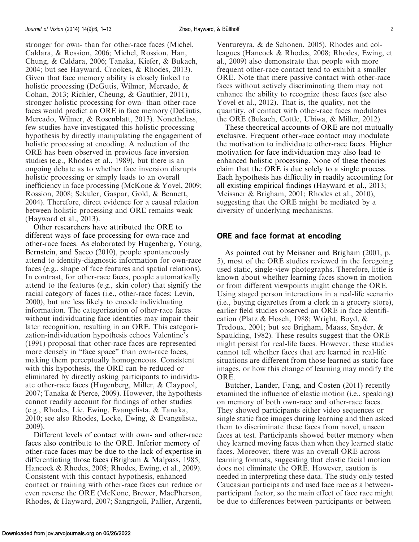stronger for own- than for other-race faces (Michel, Caldara, & Rossion, [2006;](#page-11-0) Michel, Rossion, Han, Chung, & Caldara, [2006](#page-11-0); Tanaka, Kiefer, & Bukach, [2004;](#page-11-0) but see Hayward, Crookes, & Rhodes, [2013\)](#page-10-0). Given that face memory ability is closely linked to holistic processing (DeGutis, Wilmer, Mercado, & Cohan, [2013](#page-10-0); Richler, Cheung, & Gauthier, [2011](#page-11-0)), stronger holistic processing for own- than other-race faces would predict an ORE in face memory (DeGutis, Mercado, Wilmer, & Rosenblatt, [2013](#page-10-0)). Nonetheless, few studies have investigated this holistic processing hypothesis by directly manipulating the engagement of holistic processing at encoding. A reduction of the ORE has been observed in previous face inversion studies (e.g., Rhodes et al., [1989](#page-11-0)), but there is an ongoing debate as to whether face inversion disrupts holistic processing or simply leads to an overall inefficiency in face processing (McKone & Yovel, [2009](#page-11-0); Rossion, [2008](#page-11-0); Sekuler, Gaspar, Gold, & Bennett, [2004\)](#page-11-0). Therefore, direct evidence for a causal relation

(Hayward et al., [2013\)](#page-10-0). Other researchers have attributed the ORE to different ways of face processing for own-race and other-race faces. As elaborated by Hugenberg, Young, Bernstein, and Sacco [\(2010](#page-10-0)), people spontaneously attend to identity-diagnostic information for own-race faces (e.g., shape of face features and spatial relations). In contrast, for other-race faces, people automatically attend to the features (e.g., skin color) that signify the racial category of faces (i.e., other-race faces; Levin, [2000\)](#page-11-0), but are less likely to encode individuating information. The categorization of other-race faces without individuating face identities may impair their later recognition, resulting in an ORE. This categorization-individuation hypothesis echoes Valentine's ([1991\)](#page-11-0) proposal that other-race faces are represented more densely in "face space" than own-race faces, making them perceptually homogeneous. Consistent with this hypothesis, the ORE can be reduced or eliminated by directly asking participants to individuate other-race faces (Hugenberg, Miller, & Claypool, [2007;](#page-10-0) Tanaka & Pierce, [2009\)](#page-11-0). However, the hypothesis cannot readily account for findings of other studies (e.g., Rhodes, Lie, Ewing, Evangelista, & Tanaka, [2010;](#page-11-0) see also Rhodes, Locke, Ewing, & Evangelista, [2009\)](#page-11-0).

between holistic processing and ORE remains weak

Different levels of contact with own- and other-race faces also contribute to the ORE. Inferior memory of other-race faces may be due to the lack of expertise in differentiating those faces (Brigham & Malpass, [1985;](#page-10-0) Hancock & Rhodes, [2008](#page-10-0); Rhodes, Ewing, et al., [2009](#page-11-0)). Consistent with this contact hypothesis, enhanced contact or training with other-race faces can reduce or even reverse the ORE (McKone, Brewer, MacPherson, Rhodes, & Hayward, [2007](#page-11-0); Sangrigoli, Pallier, Argenti,

Ventureyra, & de Schonen, [2005](#page-11-0)). Rhodes and colleagues (Hancock & Rhodes, [2008](#page-10-0); Rhodes, Ewing, et al., [2009\)](#page-11-0) also demonstrate that people with more frequent other-race contact tend to exhibit a smaller ORE. Note that mere passive contact with other-race faces without actively discriminating them may not enhance the ability to recognize those faces (see also Yovel et al., [2012](#page-12-0)). That is, the quality, not the quantity, of contact with other-race faces modulates the ORE (Bukach, Cottle, Ubiwa, & Miller, [2012\)](#page-10-0).

These theoretical accounts of ORE are not mutually exclusive. Frequent other-race contact may modulate the motivation to individuate other-race faces. Higher motivation for face individuation may also lead to enhanced holistic processing. None of these theories claim that the ORE is due solely to a single process. Each hypothesis has difficulty in readily accounting for all existing empirical findings (Hayward et al., [2013](#page-10-0); Meissner & Brigham, [2001;](#page-11-0) Rhodes et al., [2010\)](#page-11-0), suggesting that the ORE might be mediated by a diversity of underlying mechanisms.

#### ORE and face format at encoding

As pointed out by Meissner and Brigham ([2001,](#page-11-0) p. 5), most of the ORE studies reviewed in the foregoing used static, single-view photographs. Therefore, little is known about whether learning faces shown in motion or from different viewpoints might change the ORE. Using staged person interactions in a real-life scenario (i.e., buying cigarettes from a clerk in a grocery store), earlier field studies observed an ORE in face identification (Platz & Hosch, [1988](#page-11-0); Wright, Boyd, & Tredoux, [2001](#page-12-0); but see Brigham, Maass, Snyder, & Spaulding, [1982\)](#page-10-0). These results suggest that the ORE might persist for real-life faces. However, these studies cannot tell whether faces that are learned in real-life situations are different from those learned as static face images, or how this change of learning may modify the ORE.

Butcher, Lander, Fang, and Costen ([2011\)](#page-10-0) recently examined the influence of elastic motion (i.e., speaking) on memory of both own-race and other-race faces. They showed participants either video sequences or single static face images during learning and then asked them to discriminate these faces from novel, unseen faces at test. Participants showed better memory when they learned moving faces than when they learned static faces. Moreover, there was an overall ORE across learning formats, suggesting that elastic facial motion does not eliminate the ORE. However, caution is needed in interpreting these data. The study only tested Caucasian participants and used face race as a betweenparticipant factor, so the main effect of face race might be due to differences between participants or between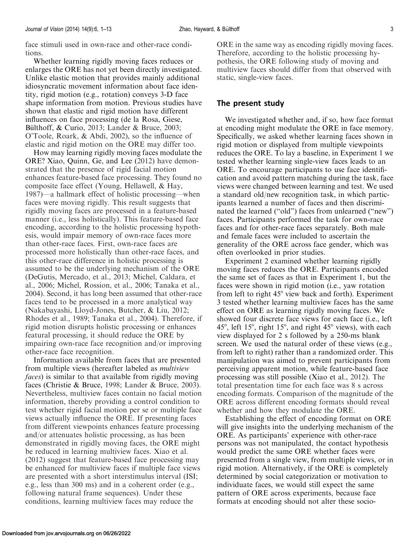face stimuli used in own-race and other-race conditions.

Whether learning rigidly moving faces reduces or enlarges the ORE has not yet been directly investigated. Unlike elastic motion that provides mainly additional idiosyncratic movement information about face identity, rigid motion (e.g., rotation) conveys 3-D face shape information from motion. Previous studies have shown that elastic and rigid motion have different influences on face processing (de la Rosa, Giese, Bülthoff,  $& Curio, 2013$  $& Curio, 2013$ ; Lander  $& Bruce, 2003$  $& Bruce, 2003$ ; O'Toole, Roark, & Abdi, [2002](#page-11-0)), so the influence of elastic and rigid motion on the ORE may differ too.

How may learning rigidly moving faces modulate the ORE? Xiao, Quinn, Ge, and Lee ([2012](#page-12-0)) have demonstrated that the presence of rigid facial motion enhances feature-based face processing. They found no composite face effect (Young, Hellawell, & Hay, [1987\)](#page-12-0)—a hallmark effect of holistic processing—when faces were moving rigidly. This result suggests that rigidly moving faces are processed in a feature-based manner (i.e., less holistically). This feature-based face encoding, according to the holistic processing hypothesis, would impair memory of own-race faces more than other-race faces. First, own-race faces are processed more holistically than other-race faces, and this other-race difference in holistic processing is assumed to be the underlying mechanism of the ORE (DeGutis, Mercado, et al., [2013;](#page-10-0) Michel, Caldara, et al., [2006;](#page-11-0) Michel, Rossion, et al., [2006](#page-11-0); Tanaka et al., [2004\)](#page-11-0). Second, it has long been assumed that other-race faces tend to be processed in a more analytical way (Nakabayashi, Lloyd-Jones, Butcher, & Liu, [2012](#page-11-0); Rhodes et al., [1989](#page-11-0); Tanaka et al., [2004\)](#page-11-0). Therefore, if rigid motion disrupts holistic processing or enhances featural processing, it should reduce the ORE by impairing own-race face recognition and/or improving other-race face recognition.

Information available from faces that are presented from multiple views (hereafter labeled as multiview faces) is similar to that available from rigidly moving faces (Christie & Bruce, [1998](#page-10-0); Lander & Bruce, [2003](#page-11-0)). Nevertheless, multiview faces contain no facial motion information, thereby providing a control condition to test whether rigid facial motion per se or multiple face views actually influence the ORE. If presenting faces from different viewpoints enhances feature processing and/or attenuates holistic processing, as has been demonstrated in rigidly moving faces, the ORE might be reduced in learning multiview faces. Xiao et al. ([2012\)](#page-12-0) suggest that feature-based face processing may be enhanced for multiview faces if multiple face views are presented with a short interstimulus interval (ISI; e.g., less than 300 ms) and in a coherent order (e.g., following natural frame sequences). Under these conditions, learning multiview faces may reduce the

ORE in the same way as encoding rigidly moving faces. Therefore, according to the holistic processing hypothesis, the ORE following study of moving and multiview faces should differ from that observed with static, single-view faces.

#### The present study

We investigated whether and, if so, how face format at encoding might modulate the ORE in face memory. Specifically, we asked whether learning faces shown in rigid motion or displayed from multiple viewpoints reduces the ORE. To lay a baseline, in Experiment 1 we tested whether learning single-view faces leads to an ORE. To encourage participants to use face identification and avoid pattern matching during the task, face views were changed between learning and test. We used a standard old/new recognition task, in which participants learned a number of faces and then discriminated the learned ("old") faces from unlearned ("new") faces. Participants performed the task for own-race faces and for other-race faces separately. Both male and female faces were included to ascertain the generality of the ORE across face gender, which was often overlooked in prior studies.

Experiment 2 examined whether learning rigidly moving faces reduces the ORE. Participants encoded the same set of faces as that in Experiment 1, but the faces were shown in rigid motion (i.e., yaw rotation from left to right  $45^{\circ}$  view back and forth). Experiment 3 tested whether learning multiview faces has the same effect on ORE as learning rigidly moving faces. We showed four discrete face views for each face (i.e., left  $45^\circ$ , left  $15^\circ$ , right  $15^\circ$ , and right  $45^\circ$  views), with each view displayed for 2 s followed by a 250-ms blank screen. We used the natural order of these views (e.g., from left to right) rather than a randomized order. This manipulation was aimed to prevent participants from perceiving apparent motion, while feature-based face processing was still possible (Xiao et al., [2012](#page-12-0)). The total presentation time for each face was 8 s across encoding formats. Comparison of the magnitude of the ORE across different encoding formats should reveal whether and how they modulate the ORE.

Establishing the effect of encoding format on ORE will give insights into the underlying mechanism of the ORE. As participants' experience with other-race persons was not manipulated, the contact hypothesis would predict the same ORE whether faces were presented from a single view, from multiple views, or in rigid motion. Alternatively, if the ORE is completely determined by social categorization or motivation to individuate faces, we would still expect the same pattern of ORE across experiments, because face formats at encoding should not alter these socio-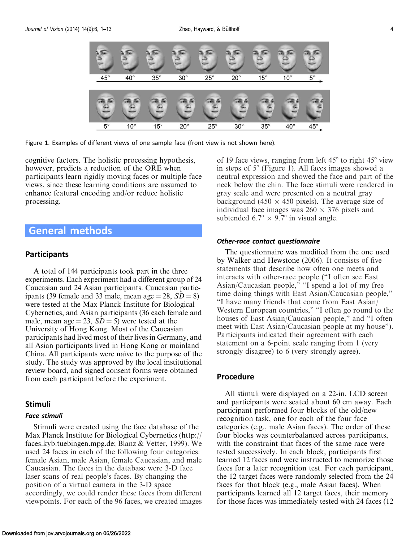<span id="page-3-0"></span>

Figure 1. Examples of different views of one sample face (front view is not shown here).

cognitive factors. The holistic processing hypothesis, however, predicts a reduction of the ORE when participants learn rigidly moving faces or multiple face views, since these learning conditions are assumed to enhance featural encoding and/or reduce holistic processing.

# General methods

#### **Participants**

A total of 144 participants took part in the three experiments. Each experiment had a different group of 24 Caucasian and 24 Asian participants. Caucasian participants (39 female and 33 male, mean age  $= 28$ ,  $SD = 8$ ) were tested at the Max Planck Institute for Biological Cybernetics, and Asian participants (36 each female and male, mean age = 23,  $SD = 5$ ) were tested at the University of Hong Kong. Most of the Caucasian participants had lived most of their lives in Germany, and all Asian participants lived in Hong Kong or mainland China. All participants were naïve to the purpose of the study. The study was approved by the local institutional review board, and signed consent forms were obtained from each participant before the experiment.

#### Stimuli

#### Face stimuli

Stimuli were created using the face database of the Max Planck Institute for Biological Cybernetics [\(http://](http://faces.kyb.tuebingen.mpg.de) [faces.kyb.tuebingen.mpg.de;](http://faces.kyb.tuebingen.mpg.de) Blanz & Vetter, [1999\)](#page-10-0). We used 24 faces in each of the following four categories: female Asian, male Asian, female Caucasian, and male Caucasian. The faces in the database were 3-D face laser scans of real people's faces. By changing the position of a virtual camera in the 3-D space accordingly, we could render these faces from different viewpoints. For each of the 96 faces, we created images of 19 face views, ranging from left  $45^{\circ}$  to right  $45^{\circ}$  view in steps of  $5^\circ$  (Figure 1). All faces images showed a neutral expression and showed the face and part of the neck below the chin. The face stimuli were rendered in gray scale and were presented on a neutral gray background (450  $\times$  450 pixels). The average size of individual face images was  $260 \times 376$  pixels and subtended  $6.7^{\circ} \times 9.7^{\circ}$  in visual angle.

#### Other-race contact questionnaire

The questionnaire was modified from the one used by Walker and Hewstone [\(2006\)](#page-12-0). It consists of five statements that describe how often one meets and interacts with other-race people (''I often see East Asian/Caucasian people," "I spend a lot of my free time doing things with East Asian/Caucasian people,'' ''I have many friends that come from East Asian/ Western European countries," "I often go round to the houses of East Asian/Caucasian people," and "I often meet with East Asian/Caucasian people at my house''). Participants indicated their agreement with each statement on a 6-point scale ranging from 1 (very strongly disagree) to 6 (very strongly agree).

#### Procedure

All stimuli were displayed on a 22-in. LCD screen and participants were seated about 60 cm away. Each participant performed four blocks of the old/new recognition task, one for each of the four face categories (e.g., male Asian faces). The order of these four blocks was counterbalanced across participants, with the constraint that faces of the same race were tested successively. In each block, participants first learned 12 faces and were instructed to memorize those faces for a later recognition test. For each participant, the 12 target faces were randomly selected from the 24 faces for that block (e.g., male Asian faces). When participants learned all 12 target faces, their memory for those faces was immediately tested with 24 faces (12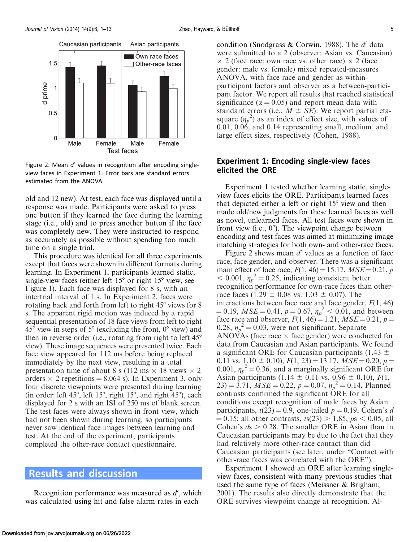



old and 12 new). At test, each face was displayed until a response was made. Participants were asked to press one button if they learned the face during the learning stage (i.e., old) and to press another button if the face was completely new. They were instructed to respond as accurately as possible without spending too much time on a single trial.

This procedure was identical for all three experiments except that faces were shown in different formats during learning. In Experiment 1, participants learned static, single-view faces (either left  $15^{\circ}$  or right  $15^{\circ}$  view, see [Figure 1](#page-3-0)). Each face was displayed for 8 s, with an intertrial interval of 1 s. In Experiment 2, faces were rotating back and forth from left to right  $45^{\circ}$  views for 8 s. The apparent rigid motion was induced by a rapid sequential presentation of 18 face views from left to right  $45^{\circ}$  view in steps of  $5^{\circ}$  (excluding the front,  $0^{\circ}$  view) and then in reverse order (i.e., rotating from right to left  $45^\circ$ view). These image sequences were presented twice. Each face view appeared for 112 ms before being replaced immediately by the next view, resulting in a total presentation time of about 8 s (112 ms  $\times$  18 views  $\times$  2 orders  $\times$  2 repetitions = 8.064 s). In Experiment 3, only four discrete viewpoints were presented during learning (in order: left  $45^{\circ}$ , left  $15^{\circ}$ , right  $15^{\circ}$ , and right  $45^{\circ}$ ), each displayed for 2 s with an ISI of 250 ms of blank screen. The test faces were always shown in front view, which had not been shown during learning, so participants never saw identical face images between learning and test. At the end of the experiment, participants completed the other-race contact questionnaire.

# Results and discussion

Recognition performance was measured as  $d'$ , which was calculated using hit and false alarm rates in each

condition (Snodgrass & Corwin, [1988\)](#page-11-0). The  $d'$  data were submitted to a 2 (observer: Asian vs. Caucasian)  $\times$  2 (face race: own race vs. other race)  $\times$  2 (face gender: male vs. female) mixed repeated-measures ANOVA, with face race and gender as withinparticipant factors and observer as a between-participant factor. We report all results that reached statistical significance ( $\alpha = 0.05$ ) and report mean data with standard errors (i.e.,  $M \pm SE$ ). We report partial etasquare  $(\eta_p^2)$  as an index of effect size, with values of 0.01, 0.06, and 0.14 representing small, medium, and large effect sizes, respectively (Cohen, [1988\)](#page-10-0).

### Experiment 1: Encoding single-view faces elicited the ORE

Experiment 1 tested whether learning static, singleview faces elicits the ORE. Participants learned faces that depicted either a left or right  $15^{\circ}$  view and then made old/new judgments for these learned faces as well as novel, unlearned faces. All test faces were shown in front view (i.e.,  $0^{\circ}$ ). The viewpoint change between encoding and test faces was aimed at minimizing image matching strategies for both own- and other-race faces.

Figure 2 shows mean  $d'$  values as a function of face race, face gender, and observer. There was a significant main effect of face race,  $F(1, 46) = 15.17$ ,  $MSE = 0.21$ , p  $<$  0.001,  $\eta_p^2 = 0.25$ , indicating consistent better recognition performance for own-race faces than otherrace faces (1.29  $\pm$  0.08 vs. 1.03  $\pm$  0.07). The interactions between face race and face gender,  $F(1, 46)$  $= 0.19$ ,  $MSE = 0.41$ ,  $p = 0.67$ ,  $\eta_p^2 < 0.01$ , and between face race and observer,  $F(1, 46) = 1.21$ ,  $MSE = 0.21$ ,  $p =$ 0.28,  $\eta_p^2 = 0.03$ , were not significant. Separate ANOVAs (face race  $\times$  face gender) were conducted for data from Caucasian and Asian participants. We found a significant ORE for Caucasian participants (1.43  $\pm$ 0.11 vs. 1.10  $\pm$  0.10),  $F(1, 23) = 13.17$ ,  $MSE = 0.20$ ,  $p =$ 0.001,  $\eta_p^2 = 0.36$ , and a marginally significant ORE for Asian participants (1.14  $\pm$  0.11 vs. 0.96  $\pm$  0.10),  $F(1,$ 23) = 3.71,  $\overline{MSE}$  = 0.22, p = 0.07,  $\eta_p^2$  = 0.14. Planned contrasts confirmed the significant ORE for all conditions except recognition of male faces by Asian participants,  $t(23) = 0.9$ , one-tailed  $p = 0.19$ , Cohen's d  $= 0.15$ ; all other contrasts,  $t s(23) > 1.85$ ,  $p s < 0.05$ , all Cohen's  $ds > 0.28$ . The smaller ORE in Asian than in Caucasian participants may be due to the fact that they had relatively more other-race contact than did Caucasian participants (see later, under ''Contact with other-race faces was correlated with the ORE'').

Experiment 1 showed an ORE after learning singleview faces, consistent with many previous studies that used the same type of faces (Meissner & Brigham, [2001\)](#page-11-0). The results also directly demonstrate that the ORE survives viewpoint change at recognition. Al-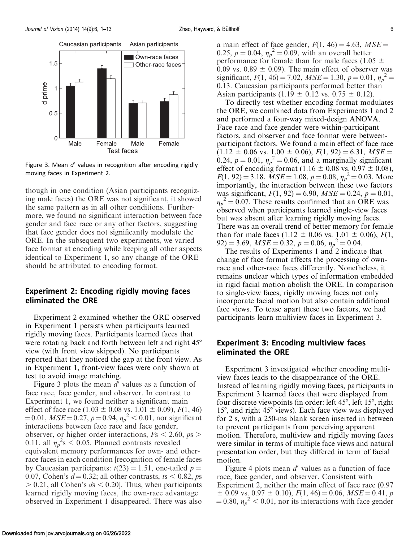

Figure 3. Mean  $d'$  values in recognition after encoding rigidly moving faces in Experiment 2.

though in one condition (Asian participants recognizing male faces) the ORE was not significant, it showed the same pattern as in all other conditions. Furthermore, we found no significant interaction between face gender and face race or any other factors, suggesting that face gender does not significantly modulate the ORE. In the subsequent two experiments, we varied face format at encoding while keeping all other aspects identical to Experiment 1, so any change of the ORE should be attributed to encoding format.

## Experiment 2: Encoding rigidly moving faces eliminated the ORE

Experiment 2 examined whether the ORE observed in Experiment 1 persists when participants learned rigidly moving faces. Participants learned faces that were rotating back and forth between left and right 45° view (with front view skipped). No participants reported that they noticed the gap at the front view. As in Experiment 1, front-view faces were only shown at test to avoid image matching.

Figure 3 plots the mean  $d'$  values as a function of face race, face gender, and observer. In contrast to Experiment 1, we found neither a significant main effect of face race  $(1.03 \pm 0.08 \text{ vs. } 1.01 \pm 0.09)$ ,  $F(1, 46)$  $= 0.01, MSE = 0.27, p = 0.94, \eta_p^2 < 0.01$ , nor significant interactions between face race and face gender, observer, or higher order interactions,  $Fs < 2.60$ ,  $ps >$ 0.11, all  $\eta_p^2$ s  $\leq$  0.05. Planned contrasts revealed equivalent memory performances for own- and otherrace faces in each condition [recognition of female faces by Caucasian participants:  $t(23) = 1.51$ , one-tailed  $p =$ 0.07, Cohen's  $d = 0.32$ ; all other contrasts,  $ts < 0.82$ , ps  $> 0.21$ , all Cohen's  $ds < 0.20$ . Thus, when participants learned rigidly moving faces, the own-race advantage observed in Experiment 1 disappeared. There was also a main effect of face gender,  $F(1, 46) = 4.63$ ,  $MSE =$ 0.25,  $p = 0.04$ ,  $\eta_p^2 = 0.09$ , with an overall better performance for female than for male faces (1.05  $\pm$ 0.09 vs. 0.89  $\pm$  0.09). The main effect of observer was significant,  $F(1, 46) = 7.02$ ,  $MSE = 1.30$ ,  $p = 0.01$ ,  $\eta_p^2 =$ 0.13. Caucasian participants performed better than Asian participants (1.19  $\pm$  0.12 vs. 0.75  $\pm$  0.12).

To directly test whether encoding format modulates the ORE, we combined data from Experiments 1 and 2 and performed a four-way mixed-design ANOVA. Face race and face gender were within-participant factors, and observer and face format were betweenparticipant factors. We found a main effect of face race  $(1.12 \pm 0.06 \text{ vs. } 1.00 \pm 0.06), F(1, 92) = 6.31, MSE =$ 0.24,  $p = 0.01$ ,  $\eta_p^2 = 0.06$ , and a marginally significant effect of encoding format (1.16  $\pm$  0.08 vs. 0.97  $\pm$  0.08),  $F(1, 92) = 3.18, \overline{MSE} = 1.08, p = 0.08, \eta_p^2 = 0.03.$  More importantly, the interaction between these two factors was significant,  $F(1, 92) = 6.90$ ,  $MSE = 0.24$ ,  $p = 0.01$ ,  $\eta_p^2 = 0.07$ . These results confirmed that an ORE was observed when participants learned single-view faces but was absent after learning rigidly moving faces. There was an overall trend of better memory for female than for male faces (1.12  $\pm$  0.06 vs. 1.01  $\pm$  0.06),  $F(1,$  $92) = 3.69, MSE = 0.32, p = 0.06, \eta_p^2 = 0.04.$ 

The results of Experiments 1 and 2 indicate that change of face format affects the processing of ownrace and other-race faces differently. Nonetheless, it remains unclear which types of information embedded in rigid facial motion abolish the ORE. In comparison to single-view faces, rigidly moving faces not only incorporate facial motion but also contain additional face views. To tease apart these two factors, we had participants learn multiview faces in Experiment 3.

### Experiment 3: Encoding multiview faces eliminated the ORE

Experiment 3 investigated whether encoding multiview faces leads to the disappearance of the ORE. Instead of learning rigidly moving faces, participants in Experiment 3 learned faces that were displayed from four discrete viewpoints (in order: left  $45^\circ$ , left  $15^\circ$ , right  $15^{\circ}$ , and right  $45^{\circ}$  views). Each face view was displayed for 2 s, with a 250-ms blank screen inserted in between to prevent participants from perceiving apparent motion. Therefore, multiview and rigidly moving faces were similar in terms of multiple face views and natural presentation order, but they differed in term of facial motion.

[Figure 4](#page-6-0) plots mean  $d'$  values as a function of face race, face gender, and observer. Consistent with Experiment 2, neither the main effect of face race (0.97  $\pm$  0.09 vs. 0.97  $\pm$  0.10),  $F(1, 46) = 0.06$ ,  $MSE = 0.41$ , p  $= 0.80$ ,  $\eta_p^2 < 0.01$ , nor its interactions with face gender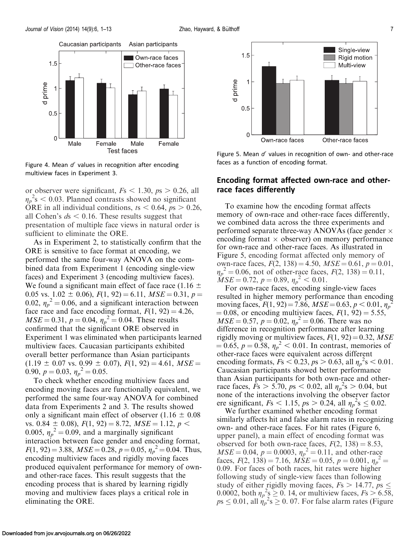<span id="page-6-0"></span>

Figure 4. Mean  $d'$  values in recognition after encoding  $f$  faces as a function of encoding format. multiview faces in Experiment 3.

or observer were significant,  $Fs < 1.30$ ,  $ps > 0.26$ , all  $\eta_p^2$ s < 0.03. Planned contrasts showed no significant ORE in all individual conditions,  $ts < 0.64$ ,  $ps > 0.26$ , all Cohen's  $ds < 0.16$ . These results suggest that presentation of multiple face views in natural order is sufficient to eliminate the ORE.

As in Experiment 2, to statistically confirm that the ORE is sensitive to face format at encoding, we performed the same four-way ANOVA on the combined data from Experiment 1 (encoding single-view faces) and Experiment 3 (encoding multiview faces). We found a significant main effect of face race (1.16  $\pm$ 0.05 vs.  $1.02 \pm 0.06$ ,  $F(1, 92) = 6.11$ ,  $MSE = 0.31$ ,  $p =$ 0.02,  $\eta_p^2 = 0.06$ , and a significant interaction between face race and face encoding format,  $F(1, 92) = 4.26$ ,  $MSE = 0.31$ ,  $p = 0.04$ ,  $\eta_p^2 = 0.04$ . These results confirmed that the significant ORE observed in Experiment 1 was eliminated when participants learned multiview faces. Caucasian participants exhibited overall better performance than Asian participants  $(1.19 \pm 0.07 \text{ vs. } 0.99 \pm 0.07), F(1, 92) = 4.61, MSE =$ 0.90,  $p = 0.03$ ,  $\eta_p^2 = 0.05$ .

To check whether encoding multiview faces and encoding moving faces are functionally equivalent, we performed the same four-way ANOVA for combined data from Experiments 2 and 3. The results showed only a significant main effect of observer  $(1.16 \pm 0.08)$ vs. 0.84  $\pm$  0.08),  $F(1, 92) = 8.72$ ,  $MSE = 1.12$ ,  $p \le$ 0.005,  $\eta_p^2 = 0.09$ , and a marginally significant interaction between face gender and encoding format,  $F(1, 92) = 3.88$ ,  $MSE = 0.28$ ,  $p = 0.05$ ,  $\eta_p^2 = 0.04$ . Thus, encoding multiview faces and rigidly moving faces produced equivalent performance for memory of ownand other-race faces. This result suggests that the encoding process that is shared by learning rigidly moving and multiview faces plays a critical role in eliminating the ORE.



Figure 5. Mean  $d'$  values in recognition of own- and other-race

### Encoding format affected own-race and otherrace faces differently

To examine how the encoding format affects memory of own-race and other-race faces differently, we combined data across the three experiments and performed separate three-way ANOVAs (face gender  $\times$ encoding format  $\times$  observer) on memory performance for own-race and other-race faces. As illustrated in Figure 5, encoding format affected only memory of own-race faces,  $F(2, 138) = 4.50$ ,  $MSE = 0.61$ ,  $p = 0.01$ ,  $\eta_p^2 = 0.06$ , not of other-race faces,  $F(2, 138) = 0.11$ ,  $MSE = 0.72$ ,  $p = 0.89$ ,  $\eta_p^2 < 0.01$ .

For own-race faces, encoding single-view faces resulted in higher memory performance than encoding moving faces,  $F(1, 92) = 7.86$ ,  $MSE = 0.63$ ,  $p < 0.01$ ,  $\eta_p^2$  $= 0.08$ , or encoding multiview faces,  $F(1, 92) = 5.55$ ,  $MSE = 0.57$ ,  $p = 0.02$ ,  $\eta_p^2 = 0.06$ . There was no difference in recognition performance after learning rigidly moving or multiview faces,  $F(1, 92) = 0.32$ , MSE  $= 0.65, p = 0.58, \eta_p^2 < 0.01$ . In contrast, memories of other-race faces were equivalent across different encoding formats,  $Fs < 0.23$ ,  $ps > 0.63$ , all  $\eta_p^2 s < 0.01$ . Caucasian participants showed better performance than Asian participants for both own-race and otherrace faces,  $\dot{F}_s > 5.70$ ,  $p_s < 0.02$ , all  $\eta_p^2 s > 0.04$ , but none of the interactions involving the observer factor ere significant,  $Fs < 1.15$ ,  $ps > 0.24$ , all  $\eta_p^2 s \le 0.02$ .

We further examined whether encoding format similarly affects hit and false alarm rates in recognizing own- and other-race faces. For hit rates [\(Figure 6](#page-7-0), upper panel), a main effect of encoding format was observed for both own-race faces,  $F(2, 138) = 8.53$ ,  $MSE = 0.04$ ,  $p = 0.0003$ ,  $\eta_p^2 = 0.11$ , and other-race faces,  $F(2, 138) = 7.16$ ,  $\overrightarrow{MSE} = 0.05$ ,  $p = 0.001$ ,  $\eta_p^2 =$ 0.09. For faces of both races, hit rates were higher following study of single-view faces than following study of either rigidly moving faces,  $Fs > 14.77$ ,  $ps \le$ 0.0002, both  $\eta_p^2 \ge 0$ . 14, or multiview faces,  $Fs > 6.58$ ,  $ps \le 0.01$ , all  $\eta_p^2 s \ge 0.07$ . For false alarm rates [\(Figure](#page-7-0)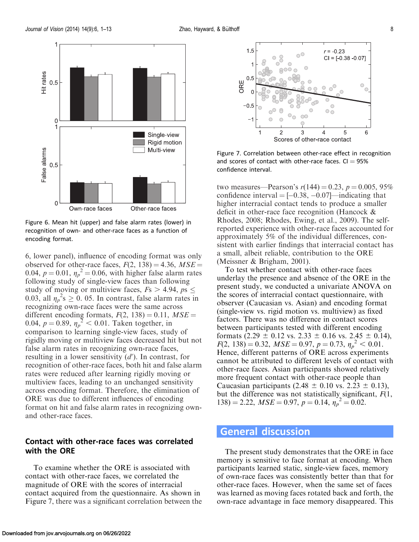<span id="page-7-0"></span>

Figure 6. Mean hit (upper) and false alarm rates (lower) in recognition of own- and other-race faces as a function of encoding format.

6, lower panel), influence of encoding format was only observed for other-race faces,  $F(2, 138) = 4.36$ ,  $MSE =$ 0.04,  $p = 0.01$ ,  $\eta_p^2 = 0.06$ , with higher false alarm rates following study of single-view faces than following study of moving or multiview faces,  $Fs > 4.94$ ,  $ps \le$ 0.03, all  $\eta_p^2 s \ge 0$ . 05. In contrast, false alarm rates in recognizing own-race faces were the same across different encoding formats,  $F(2, 138) = 0.11$ ,  $MSE =$ 0.04,  $p = 0.89$ ,  $\eta_p^2 < 0.01$ . Taken together, in comparison to learning single-view faces, study of rigidly moving or multiview faces decreased hit but not false alarm rates in recognizing own-race faces, resulting in a lower sensitivity  $(d')$ . In contrast, for recognition of other-race faces, both hit and false alarm rates were reduced after learning rigidly moving or multiview faces, leading to an unchanged sensitivity across encoding format. Therefore, the elimination of ORE was due to different influences of encoding format on hit and false alarm rates in recognizing ownand other-race faces.

# Contact with other-race faces was correlated with the ORE

To examine whether the ORE is associated with contact with other-race faces, we correlated the magnitude of ORE with the scores of interracial contact acquired from the questionnaire. As shown in Figure 7, there was a significant correlation between the



Figure 7. Correlation between other-race effect in recognition and scores of contact with other-race faces.  $CI = 95\%$ confidence interval.

two measures—Pearson's  $r(144) = 0.23$ ,  $p = 0.005$ , 95% confidence interval  $=[-0.38, -0.07]$ —indicating that higher interracial contact tends to produce a smaller deficit in other-race face recognition (Hancock & Rhodes, [2008](#page-10-0); Rhodes, Ewing, et al., [2009](#page-11-0)). The selfreported experience with other-race faces accounted for approximately 5% of the individual differences, consistent with earlier findings that interracial contact has a small, albeit reliable, contribution to the ORE (Meissner & Brigham, [2001](#page-11-0)).

To test whether contact with other-race faces underlay the presence and absence of the ORE in the present study, we conducted a univariate ANOVA on the scores of interracial contact questionnaire, with observer (Caucasian vs. Asian) and encoding format (single-view vs. rigid motion vs. multiview) as fixed factors. There was no difference in contact scores between participants tested with different encoding formats (2.29  $\pm$  0.12 vs. 2.33  $\pm$  0.16 vs. 2.45  $\pm$  0.14),  $F(2, 138) = 0.32, MSE = 0.97, p = 0.73, \eta_p^2 < 0.01.$ Hence, different patterns of ORE across experiments cannot be attributed to different levels of contact with other-race faces. Asian participants showed relatively more frequent contact with other-race people than Caucasian participants (2.48  $\pm$  0.10 vs. 2.23  $\pm$  0.13), but the difference was not statistically significant,  $F(1)$ ,  $138) = 2.22$ ,  $MSE = 0.97$ ,  $p = 0.14$ ,  $\eta_p^2 = 0.02$ .

# General discussion

The present study demonstrates that the ORE in face memory is sensitive to face format at encoding. When participants learned static, single-view faces, memory of own-race faces was consistently better than that for other-race faces. However, when the same set of faces was learned as moving faces rotated back and forth, the own-race advantage in face memory disappeared. This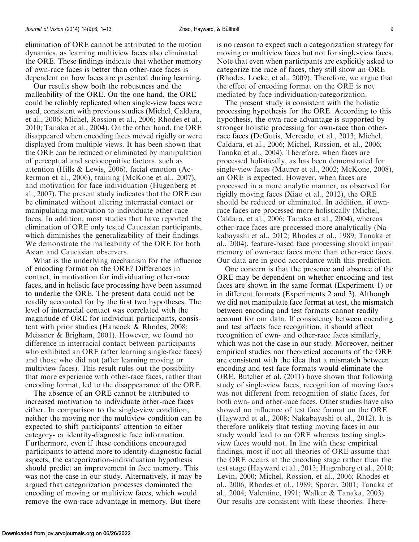elimination of ORE cannot be attributed to the motion dynamics, as learning multiview faces also eliminated the ORE. These findings indicate that whether memory of own-race faces is better than other-race faces is dependent on how faces are presented during learning.

Our results show both the robustness and the malleability of the ORE. On the one hand, the ORE could be reliably replicated when single-view faces were used, consistent with previous studies (Michel, Caldara, et al., [2006;](#page-11-0) Michel, Rossion et al., [2006](#page-11-0); Rhodes et al., [2010;](#page-11-0) Tanaka et al., [2004](#page-11-0)). On the other hand, the ORE disappeared when encoding faces moved rigidly or were displayed from multiple views. It has been shown that the ORE can be reduced or eliminated by manipulation of perceptual and sociocognitive factors, such as attention (Hills & Lewis, [2006](#page-10-0)), facial emotion (Ackerman et al., [2006](#page-10-0)), training (McKone et al., [2007\)](#page-11-0), and motivation for face individuation (Hugenberg et al., [2007\)](#page-10-0). The present study indicates that the ORE can be eliminated without altering interracial contact or manipulating motivation to individuate other-race faces. In addition, most studies that have reported the elimination of ORE only tested Caucasian participants, which diminishes the generalizability of their findings. We demonstrate the malleability of the ORE for both Asian and Caucasian observers.

What is the underlying mechanism for the influence of encoding format on the ORE? Differences in contact, in motivation for individuating other-race faces, and in holistic face processing have been assumed to underlie the ORE. The present data could not be readily accounted for by the first two hypotheses. The level of interracial contact was correlated with the magnitude of ORE for individual participants, consistent with prior studies (Hancock & Rhodes, [2008](#page-10-0); Meissner & Brigham, [2001\)](#page-11-0). However, we found no difference in interracial contact between participants who exhibited an ORE (after learning single-face faces) and those who did not (after learning moving or multiview faces). This result rules out the possibility that more experience with other-race faces, rather than encoding format, led to the disappearance of the ORE.

The absence of an ORE cannot be attributed to increased motivation to individuate other-race faces either. In comparison to the single-view condition, neither the moving nor the multiview condition can be expected to shift participants' attention to either category- or identity-diagnostic face information. Furthermore, even if these conditions encouraged participants to attend more to identity-diagnostic facial aspects, the categorization-individuation hypothesis should predict an improvement in face memory. This was not the case in our study. Alternatively, it may be argued that categorization processes dominated the encoding of moving or multiview faces, which would remove the own-race advantage in memory. But there

is no reason to expect such a categorization strategy for moving or multiview faces but not for single-view faces. Note that even when participants are explicitly asked to categorize the race of faces, they still show an ORE (Rhodes, Locke, et al., [2009\)](#page-11-0). Therefore, we argue that the effect of encoding format on the ORE is not mediated by face individuation/categorization.

The present study is consistent with the holistic processing hypothesis for the ORE. According to this hypothesis, the own-race advantage is supported by stronger holistic processing for own-race than otherrace faces (DeGutis, Mercado, et al., [2013](#page-10-0); Michel, Caldara, et al., [2006](#page-11-0); Michel, Rossion, et al., [2006](#page-11-0); Tanaka et al., [2004](#page-11-0)). Therefore, when faces are processed holistically, as has been demonstrated for single-view faces (Maurer et al., [2002](#page-11-0); McKone, [2008](#page-11-0)), an ORE is expected. However, when faces are processed in a more analytic manner, as observed for rigidly moving faces (Xiao et al., [2012](#page-12-0)), the ORE should be reduced or eliminated. In addition, if ownrace faces are processed more holistically (Michel, Caldara, et al., [2006](#page-11-0); Tanaka et al., [2004](#page-11-0)), whereas other-race faces are processed more analytically (Nakabayashi et al., [2012;](#page-11-0) Rhodes et al., [1989;](#page-11-0) Tanaka et al., [2004\)](#page-11-0), feature-based face processing should impair memory of own-race faces more than other-race faces. Our data are in good accordance with this prediction.

One concern is that the presence and absence of the ORE may be dependent on whether encoding and test faces are shown in the same format (Experiment 1) or in different formats (Experiments 2 and 3). Although we did not manipulate face format at test, the mismatch between encoding and test formats cannot readily account for our data. If consistency between encoding and test affects face recognition, it should affect recognition of own- and other-race faces similarly, which was not the case in our study. Moreover, neither empirical studies nor theoretical accounts of the ORE are consistent with the idea that a mismatch between encoding and test face formats would eliminate the ORE. Butcher et al. [\(2011\)](#page-10-0) have shown that following study of single-view faces, recognition of moving faces was not different from recognition of static faces, for both own- and other-race faces. Other studies have also showed no influence of test face format on the ORE (Hayward et al., [2008;](#page-10-0) Nakabayashi et al., [2012\)](#page-11-0). It is therefore unlikely that testing moving faces in our study would lead to an ORE whereas testing singleview faces would not. In line with these empirical findings, most if not all theories of ORE assume that the ORE occurs at the encoding stage rather than the test stage (Hayward et al., [2013;](#page-10-0) Hugenberg et al., [2010](#page-10-0); Levin, [2000](#page-11-0); Michel, Rossion, et al., [2006](#page-11-0); Rhodes et al., [2006;](#page-11-0) Rhodes et al., [1989](#page-11-0); Sporer, [2001;](#page-11-0) Tanaka et al., [2004;](#page-11-0) Valentine, [1991;](#page-11-0) Walker & Tanaka, [2003\)](#page-12-0). Our results are consistent with these theories. There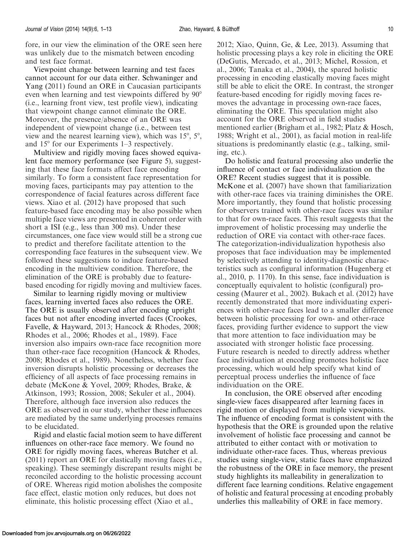fore, in our view the elimination of the ORE seen here was unlikely due to the mismatch between encoding and test face format.

Viewpoint change between learning and test faces cannot account for our data either. Schwaninger and Yang ([2011\)](#page-11-0) found an ORE in Caucasian participants even when learning and test viewpoints differed by  $90^{\circ}$ (i.e., learning front view, test profile view), indicating that viewpoint change cannot eliminate the ORE. Moreover, the presence/absence of an ORE was independent of viewpoint change (i.e., between test view and the nearest learning view), which was  $15^{\circ}$ ,  $5^{\circ}$ , and  $15^{\circ}$  for our Experiments 1–3 respectively.

Multiview and rigidly moving faces showed equivalent face memory performance (see [Figure 5](#page-6-0)), suggesting that these face formats affect face encoding similarly. To form a consistent face representation for moving faces, participants may pay attention to the correspondence of facial features across different face views. Xiao et al. [\(2012](#page-12-0)) have proposed that such feature-based face encoding may be also possible when multiple face views are presented in coherent order with short a ISI (e.g., less than 300 ms). Under these circumstances, one face view would still be a strong cue to predict and therefore facilitate attention to the corresponding face features in the subsequent view. We followed these suggestions to induce feature-based encoding in the multiview condition. Therefore, the elimination of the ORE is probably due to featurebased encoding for rigidly moving and multiview faces.

Similar to learning rigidly moving or multiview faces, learning inverted faces also reduces the ORE. The ORE is usually observed after encoding upright faces but not after encoding inverted faces (Crookes, Favelle, & Hayward, [2013;](#page-10-0) Hancock & Rhodes, [2008](#page-10-0); Rhodes et al., [2006](#page-11-0); Rhodes et al., [1989](#page-11-0)). Face inversion also impairs own-race face recognition more than other-race face recognition (Hancock & Rhodes, [2008;](#page-10-0) Rhodes et al., [1989\)](#page-11-0). Nonetheless, whether face inversion disrupts holistic processing or decreases the efficiency of all aspects of face processing remains in debate (McKone & Yovel, [2009;](#page-11-0) Rhodes, Brake, & Atkinson, [1993](#page-11-0); Rossion, [2008](#page-11-0); Sekuler et al., [2004](#page-11-0)). Therefore, although face inversion also reduces the ORE as observed in our study, whether these influences are mediated by the same underlying processes remains to be elucidated.

Rigid and elastic facial motion seem to have different influences on other-race face memory. We found no ORE for rigidly moving faces, whereas Butcher et al. ([2011\)](#page-10-0) report an ORE for elastically moving faces (i.e., speaking). These seemingly discrepant results might be reconciled according to the holistic processing account of ORE. Whereas rigid motion abolishes the composite face effect, elastic motion only reduces, but does not eliminate, this holistic processing effect (Xiao et al.,

[2012;](#page-12-0) Xiao, Quinn, Ge, & Lee, [2013](#page-12-0)). Assuming that holistic processing plays a key role in eliciting the ORE (DeGutis, Mercado, et al., [2013;](#page-10-0) Michel, Rossion, et al., [2006;](#page-11-0) Tanaka et al., [2004\)](#page-11-0), the spared holistic processing in encoding elastically moving faces might still be able to elicit the ORE. In contrast, the stronger feature-based encoding for rigidly moving faces removes the advantage in processing own-race faces, eliminating the ORE. This speculation might also account for the ORE observed in field studies mentioned earlier (Brigham et al., [1982;](#page-10-0) Platz & Hosch, [1988;](#page-11-0) Wright et al., [2001](#page-12-0)), as facial motion in real-life situations is predominantly elastic (e.g., talking, smiling, etc.).

Do holistic and featural processing also underlie the influence of contact or face individualization on the ORE? Recent studies suggest that it is possible. McKone et al. ([2007\)](#page-11-0) have shown that familiarization with other-race faces via training diminishes the ORE. More importantly, they found that holistic processing for observers trained with other-race faces was similar to that for own-race faces. This result suggests that the improvement of holistic processing may underlie the reduction of ORE via contact with other-race faces. The categorization-individualization hypothesis also proposes that face individuation may be implemented by selectively attending to identity-diagnostic characteristics such as configural information (Hugenberg et al., [2010,](#page-10-0) p. 1170). In this sense, face individuation is conceptually equivalent to holistic (configural) processing (Maurer et al., [2002](#page-11-0)). Bukach et al. ([2012](#page-10-0)) have recently demonstrated that more individuating experiences with other-race faces lead to a smaller difference between holistic processing for own- and other-race faces, providing further evidence to support the view that more attention to face individuation may be associated with stronger holistic face processing. Future research is needed to directly address whether face individuation at encoding promotes holistic face processing, which would help specify what kind of perceptual process underlies the influence of face individuation on the ORE.

In conclusion, the ORE observed after encoding single-view faces disappeared after learning faces in rigid motion or displayed from multiple viewpoints. The influence of encoding format is consistent with the hypothesis that the ORE is grounded upon the relative involvement of holistic face processing and cannot be attributed to either contact with or motivation to individuate other-race faces. Thus, whereas previous studies using single-view, static faces have emphasized the robustness of the ORE in face memory, the present study highlights its malleability in generalization to different face learning conditions. Relative engagement of holistic and featural processing at encoding probably underlies this malleability of ORE in face memory.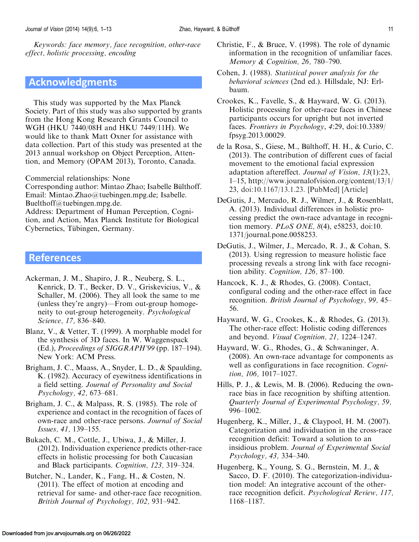<span id="page-10-0"></span>Keywords: face memory, face recognition, other-race effect, holistic processing, encoding

# Acknowledgments

This study was supported by the Max Planck Society. Part of this study was also supported by grants from the Hong Kong Research Grants Council to WGH (HKU 7440/08H and HKU 7449/11H). We would like to thank Matt Oxner for assistance with data collection. Part of this study was presented at the 2013 annual workshop on Object Perception, Attention, and Memory (OPAM 2013), Toronto, Canada.

Commercial relationships: None

Corresponding author: Mintao Zhao; Isabelle Bülthoff. Email: Mintao.Zhao@tuebingen.mpg.de; Isabelle. Buelthoff@tuebingen.mpg.de.

Address: Department of Human Perception, Cognition, and Action, Max Planck Institute for Biological Cybernetics, Tübingen, Germany.

# References

- Ackerman, J. M., Shapiro, J. R., Neuberg, S. L., Kenrick, D. T., Becker, D. V., Griskevicius, V., & Schaller, M. (2006). They all look the same to me (unless they're angry)—From out-group homogeneity to out-group heterogeneity. Psychological Science, 17, 836–840.
- Blanz, V., & Vetter, T. (1999). A morphable model for the synthesis of 3D faces. In W. Waggenspack  $(Ed.)$ , Proceedings of SIGGRAPH'99 (pp. 187–194). New York: ACM Press.
- Brigham, J. C., Maass, A., Snyder, L. D., & Spaulding, K. (1982). Accuracy of eyewitness identifications in a field setting. Journal of Personality and Social Psychology, 42, 673–681.
- Brigham, J. C., & Malpass, R. S. (1985). The role of experience and contact in the recognition of faces of own-race and other-race persons. Journal of Social Issues, 41, 139–155.
- Bukach, C. M., Cottle, J., Ubiwa, J., & Miller, J. (2012). Individuation experience predicts other-race effects in holistic processing for both Caucasian and Black participants. Cognition, 123, 319–324.
- Butcher, N., Lander, K., Fang, H., & Costen, N. (2011). The effect of motion at encoding and retrieval for same- and other-race face recognition. British Journal of Psychology, 102, 931–942.
- Christie, F., & Bruce, V. (1998). The role of dynamic information in the recognition of unfamiliar faces. Memory & Cognition, 26, 780-790.
- Cohen, J. (1988). Statistical power analysis for the behavioral sciences (2nd ed.). Hillsdale, NJ: Erlbaum.
- Crookes, K., Favelle, S., & Hayward, W. G. (2013). Holistic processing for other-race faces in Chinese participants occurs for upright but not inverted faces. Frontiers in Psychology, 4:29, doi:10.3389/ fpsyg.2013.00029.
- de la Rosa, S., Giese, M., Bülthoff, H. H., & Curio, C. (2013). The contribution of different cues of facial movement to the emotional facial expression adaptation aftereffect. Journal of Vision, 13(1):23, 1–15, http://www.journalofvision.org/content/13/1/ 23, doi:10.1167/13.1.23. [[PubMed](http://www.ncbi.nlm.nih.gov/pubmed/23335323)] [[Article\]](http://www.journalofvision.org/content/13/1/23.long)
- DeGutis, J., Mercado, R. J., Wilmer, J., & Rosenblatt, A. (2013). Individual differences in holistic processing predict the own-race advantage in recognition memory. PLoS ONE, 8(4), e58253, doi:10. 1371/journal.pone.0058253.
- DeGutis, J., Wilmer, J., Mercado, R. J., & Cohan, S. (2013). Using regression to measure holistic face processing reveals a strong link with face recognition ability. Cognition, 126, 87–100.
- Hancock, K. J., & Rhodes, G. (2008). Contact, configural coding and the other-race effect in face recognition. British Journal of Psychology, 99, 45– 56.
- Hayward, W. G., Crookes, K., & Rhodes, G. (2013). The other-race effect: Holistic coding differences and beyond. Visual Cognition, 21, 1224–1247.
- Hayward, W. G., Rhodes, G., & Schwaninger, A. (2008). An own-race advantage for components as well as configurations in face recognition. Cognition, 106, 1017–1027.
- Hills, P. J., & Lewis, M. B. (2006). Reducing the ownrace bias in face recognition by shifting attention. Quarterly Journal of Experimental Psychology, 59, 996–1002.
- Hugenberg, K., Miller, J., & Claypool, H. M. (2007). Categorization and individuation in the cross-race recognition deficit: Toward a solution to an insidious problem. Journal of Experimental Social Psychology, 43, 334–340.
- Hugenberg, K., Young, S. G., Bernstein, M. J., & Sacco, D. F. (2010). The categorization-individuation model: An integrative account of the otherrace recognition deficit. Psychological Review, 117, 1168–1187.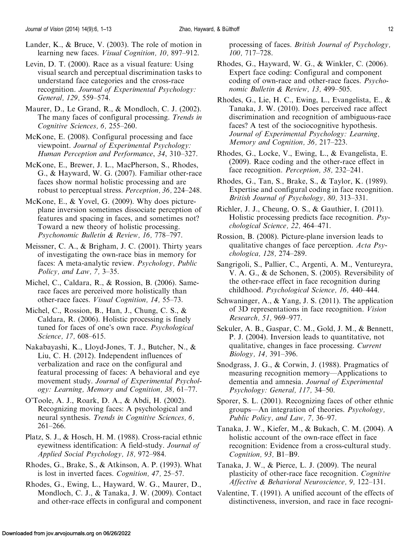- <span id="page-11-0"></span>Lander, K., & Bruce, V. (2003). The role of motion in learning new faces. *Visual Cognition*, 10, 897–912.
- Levin, D. T. (2000). Race as a visual feature: Using visual search and perceptual discrimination tasks to understand face categories and the cross-race recognition. Journal of Experimental Psychology: General, 129, 559–574.
- Maurer, D., Le Grand, R., & Mondloch, C. J. (2002). The many faces of configural processing. Trends in Cognitive Sciences, 6, 255–260.
- McKone, E. (2008). Configural processing and face viewpoint. Journal of Experimental Psychology: Human Perception and Performance, 34, 310–327.
- McKone, E., Brewer, J. L., MacPherson, S., Rhodes, G., & Hayward, W. G. (2007). Familiar other-race faces show normal holistic processing and are robust to perceptual stress. Perception, 36, 224–248.
- McKone, E., & Yovel, G. (2009). Why does pictureplane inversion sometimes dissociate perception of features and spacing in faces, and sometimes not? Toward a new theory of holistic processing. Psychonomic Bulletin & Review, 16, 778–797.
- Meissner, C. A., & Brigham, J. C. (2001). Thirty years of investigating the own-race bias in memory for faces: A meta-analytic review. Psychology, Public Policy, and Law, 7, 3–35.
- Michel, C., Caldara, R., & Rossion, B. (2006). Samerace faces are perceived more holistically than other-race faces. Visual Cognition, 14, 55–73.
- Michel, C., Rossion, B., Han, J., Chung, C. S., & Caldara, R. (2006). Holistic processing is finely tuned for faces of one's own race. Psychological Science, 17, 608–615.
- Nakabayashi, K., Lloyd-Jones, T. J., Butcher, N., & Liu, C. H. (2012). Independent influences of verbalization and race on the configural and featural processing of faces: A behavioral and eye movement study. Journal of Experimental Psychology: Learning, Memory and Cognition, 38, 61–77.
- O'Toole, A. J., Roark, D. A., & Abdi, H. (2002). Recognizing moving faces: A psychological and neural synthesis. Trends in Cognitive Sciences, 6, 261–266.
- Platz, S. J., & Hosch, H. M. (1988). Cross-racial ethnic eyewitness identification: A field-study. Journal of Applied Social Psychology, 18, 972–984.
- Rhodes, G., Brake, S., & Atkinson, A. P. (1993). What is lost in inverted faces. Cognition, 47, 25–57.
- Rhodes, G., Ewing, L., Hayward, W. G., Maurer, D., Mondloch, C. J., & Tanaka, J. W. (2009). Contact and other-race effects in configural and component

processing of faces. British Journal of Psychology, 100, 717–728.

- Rhodes, G., Hayward, W. G., & Winkler, C. (2006). Expert face coding: Configural and component coding of own-race and other-race faces. Psychonomic Bulletin & Review, 13, 499–505.
- Rhodes, G., Lie, H. C., Ewing, L., Evangelista, E., & Tanaka, J. W. (2010). Does perceived race affect discrimination and recognition of ambiguous-race faces? A test of the sociocognitive hypothesis. Journal of Experimental Psychology: Learning, Memory and Cognition, 36, 217–223.
- Rhodes, G., Locke, V., Ewing, L., & Evangelista, E. (2009). Race coding and the other-race effect in face recognition. Perception, 38, 232–241.
- Rhodes, G., Tan, S., Brake, S., & Taylor, K. (1989). Expertise and configural coding in face recognition. British Journal of Psychology, 80, 313–331.
- Richler, J. J., Cheung, O. S., & Gauthier, I. (2011). Holistic processing predicts face recognition. Psychological Science, 22, 464–471.
- Rossion, B. (2008). Picture-plane inversion leads to qualitative changes of face perception. Acta Psychologica, 128, 274–289.
- Sangrigoli, S., Pallier, C., Argenti, A. M., Ventureyra, V. A. G., & de Schonen, S. (2005). Reversibility of the other-race effect in face recognition during childhood. Psychological Science, 16, 440–444.
- Schwaninger, A., & Yang, J. S. (2011). The application of 3D representations in face recognition. Vision Research, 51, 969–977.
- Sekuler, A. B., Gaspar, C. M., Gold, J. M., & Bennett, P. J. (2004). Inversion leads to quantitative, not qualitative, changes in face processing. Current Biology, 14, 391–396.
- Snodgrass, J. G., & Corwin, J. (1988). Pragmatics of measuring recognition memory—Applications to dementia and amnesia. Journal of Experimental Psychology: General, 117, 34–50.
- Sporer, S. L. (2001). Recognizing faces of other ethnic groups—An integration of theories. Psychology, Public Policy, and Law, 7, 36–97.
- Tanaka, J. W., Kiefer, M., & Bukach, C. M. (2004). A holistic account of the own-race effect in face recognition: Evidence from a cross-cultural study. Cognition, 93, B1–B9.
- Tanaka, J. W., & Pierce, L. J. (2009). The neural plasticity of other-race face recognition. Cognitive Affective & Behavioral Neuroscience, 9, 122–131.
- Valentine, T. (1991). A unified account of the effects of distinctiveness, inversion, and race in face recogni-